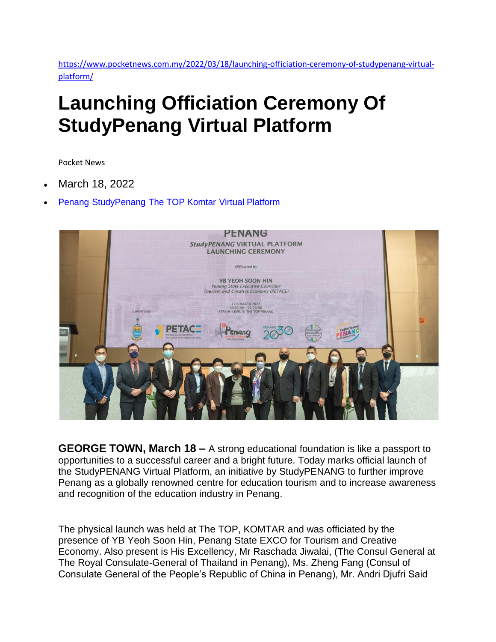[https://www.pocketnews.com.my/2022/03/18/launching-officiation-ceremony-of-studypenang-virtual](https://www.pocketnews.com.my/2022/03/18/launching-officiation-ceremony-of-studypenang-virtual-platform/)[platform/](https://www.pocketnews.com.my/2022/03/18/launching-officiation-ceremony-of-studypenang-virtual-platform/)

## **Launching Officiation Ceremony Of StudyPenang Virtual Platform**

Pocket News

- March 18, 2022
- [Penang](https://www.pocketnews.com.my/tag/penang/) [StudyPenang](https://www.pocketnews.com.my/tag/studypenang/) [The TOP Komtar](https://www.pocketnews.com.my/tag/the-top-komtar/) [Virtual Platform](https://www.pocketnews.com.my/tag/virtual-platform/)



**GEORGE TOWN, March 18 –** A strong educational foundation is like a passport to opportunities to a successful career and a bright future. Today marks official launch of the StudyPENANG Virtual Platform, an initiative by StudyPENANG to further improve Penang as a globally renowned centre for education tourism and to increase awareness and recognition of the education industry in Penang.

The physical launch was held at The TOP, KOMTAR and was officiated by the presence of YB Yeoh Soon Hin, Penang State EXCO for Tourism and Creative Economy. Also present is His Excellency, Mr Raschada Jiwalai, (The Consul General at The Royal Consulate-General of Thailand in Penang), Ms. Zheng Fang (Consul of Consulate General of the People's Republic of China in Penang), Mr. Andri Djufri Said